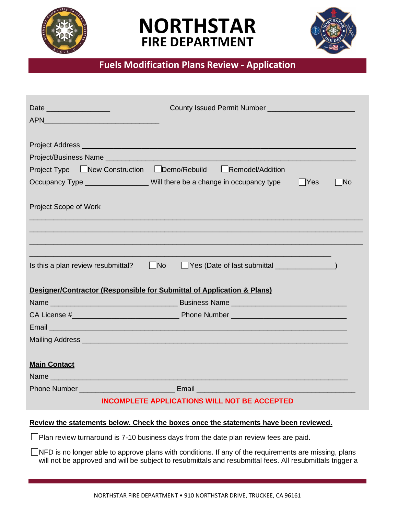





## **Fuels Modification Plans Review - Application**

| Date                                                                                                                    |
|-------------------------------------------------------------------------------------------------------------------------|
|                                                                                                                         |
|                                                                                                                         |
| Project Type LNew Construction Demo/Rebuild Remodel/Addition                                                            |
| Occupancy Type ___________________Will there be a change in occupancy type<br>$ $ Yes<br> No                            |
| Project Scope of Work                                                                                                   |
| Is this a plan review resubmittal?<br>$\blacksquare$ No                                                                 |
| Designer/Contractor (Responsible for Submittal of Application & Plans)                                                  |
|                                                                                                                         |
| Email 2008 - 2009 - 2009 - 2009 - 2010 - 2010 - 2010 - 2011 - 2012 - 2012 - 2012 - 2014 - 2014 - 2014 - 2014 -          |
| Mailing Address <b>Mailing</b> Address <b>Mailing</b> Address <b>Mailing</b> Address <b>Mail Address 1999</b>           |
| <b>Main Contact</b>                                                                                                     |
| <b>Phone Number Community Community Community Community Community Community Community Community Community Community</b> |
| <b>INCOMPLETE APPLICATIONS WILL NOT BE ACCEPTED</b>                                                                     |

### **Review the statements below. Check the boxes once the statements have been reviewed.**

 $\square$ Plan review turnaround is 7-10 business days from the date plan review fees are paid.

 $\Box$ NFD is no longer able to approve plans with conditions. If any of the requirements are missing, plans will not be approved and will be subject to resubmittals and resubmittal fees. All resubmittals trigger a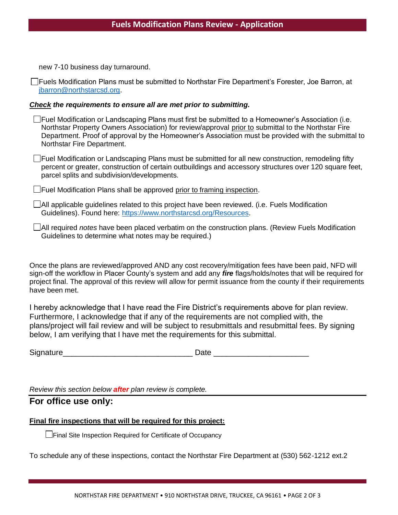new 7-10 business day turnaround.

Fuels Modification Plans must be submitted to Northstar Fire Department's Forester, Joe Barron, at jbarron@northstarcsd.org.

#### *Check the requirements to ensure all are met prior to submitting.*

 $\Box$  Fuel Modification or Landscaping Plans must first be submitted to a Homeowner's Association (i.e. Northstar Property Owners Association) for review/approval prior to submittal to the Northstar Fire Department. Proof of approval by the Homeowner's Association must be provided with the submittal to Northstar Fire Department.

Fuel Modification or Landscaping Plans must be submitted for all new construction, remodeling fifty percent or greater, construction of certain outbuildings and accessory structures over 120 square feet, parcel splits and subdivision/developments.

Fuel Modification Plans shall be approved prior to framing inspection.

 $\Box$  All applicable guidelines related to this project have been reviewed. (i.e. Fuels Modification Guidelines). Found here: https://www.northstarcsd.org/Resources.

All required *notes* have been placed verbatim on the construction plans. (Review Fuels Modification Guidelines to determine what notes may be required.)

Once the plans are reviewed/approved AND any cost recovery/mitigation fees have been paid, NFD will sign-off the workflow in Placer County's system and add any *fire* flags/holds/notes that will be required for project final. The approval of this review will allow for permit issuance from the county if their requirements have been met.

I hereby acknowledge that I have read the Fire District's requirements above for plan review. Furthermore, I acknowledge that if any of the requirements are not complied with, the plans/project will fail review and will be subject to resubmittals and resubmittal fees. By signing below, I am verifying that I have met the requirements for this submittal.

| Signature |  |
|-----------|--|
|           |  |

*Review this section below after plan review is complete.*

**For office use only:**

#### **Final fire inspections that will be required for this project:**

**L** Final Site Inspection Required for Certificate of Occupancy

To schedule any of these inspections, contact the Northstar Fire Department at (530) 562-1212 ext.2